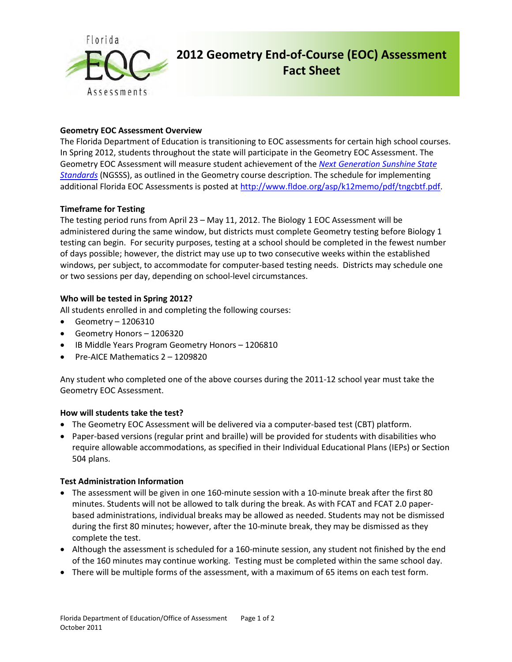

# **2012 Geometry End-of-Course (EOC) Assessment Fact Sheet**

# **Geometry EOC Assessment Overview**

The Florida Department of Education is transitioning to EOC assessments for certain high school courses. In Spring 2012, students throughout the state will participate in the Geometry EOC Assessment. The Geometry EOC Assessment will measure student achievement of the *[Next Generation Sunshine State](http://www.floridastandards.org/index.aspx)  [Standards](http://www.floridastandards.org/index.aspx)* (NGSSS), as outlined in the Geometry course description. The schedule for implementing additional Florida EOC Assessments is posted at [http://www.fldoe.org/asp/k12memo/pdf/tngcbtf.pdf.](http://www.fldoe.org/asp/k12memo/pdf/tngcbtf.pdf)

# **Timeframe for Testing**

The testing period runs from April 23 – May 11, 2012. The Biology 1 EOC Assessment will be administered during the same window, but districts must complete Geometry testing before Biology 1 testing can begin. For security purposes, testing at a school should be completed in the fewest number of days possible; however, the district may use up to two consecutive weeks within the established windows, per subject, to accommodate for computer-based testing needs. Districts may schedule one or two sessions per day, depending on school-level circumstances.

# **Who will be tested in Spring 2012?**

All students enrolled in and completing the following courses:

- Geometry 1206310
- Geometry Honors 1206320
- IB Middle Years Program Geometry Honors 1206810
- Pre-AICE Mathematics 2 1209820

Any student who completed one of the above courses during the 2011-12 school year must take the Geometry EOC Assessment.

#### **How will students take the test?**

- The Geometry EOC Assessment will be delivered via a computer-based test (CBT) platform.
- Paper-based versions (regular print and braille) will be provided for students with disabilities who require allowable accommodations, as specified in their Individual Educational Plans (IEPs) or Section 504 plans.

#### **Test Administration Information**

- The assessment will be given in one 160-minute session with a 10-minute break after the first 80 minutes. Students will not be allowed to talk during the break. As with FCAT and FCAT 2.0 paperbased administrations, individual breaks may be allowed as needed. Students may not be dismissed during the first 80 minutes; however, after the 10-minute break, they may be dismissed as they complete the test.
- Although the assessment is scheduled for a 160-minute session, any student not finished by the end of the 160 minutes may continue working. Testing must be completed within the same school day.
- There will be multiple forms of the assessment, with a maximum of 65 items on each test form.